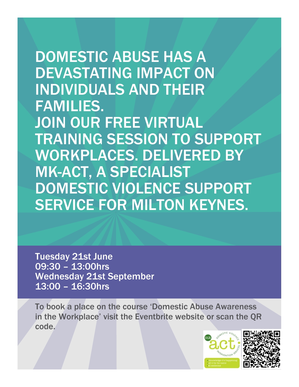DOMESTIC ABUSE HAS A DEVASTATING IMPACT ON INDIVIDUALS AND THEIR FAMILIES. JOIN OUR FREE VIRTUAL TRAINING SESSION TO SUPPORT WORKPLACES. DELIVERED BY MK-ACT, A SPECIALIST DOMESTIC VIOLENCE SUPPORT SERVICE FOR MILTON KEYNES.

Tuesday 21st June 09:30 – 13:00hrs Wednesday 21st September 13:00 – 16:30hrs

To book a place on the course 'Domestic Abuse Awareness in the Workplace' visit the Eventbrite website or scan the QR code.